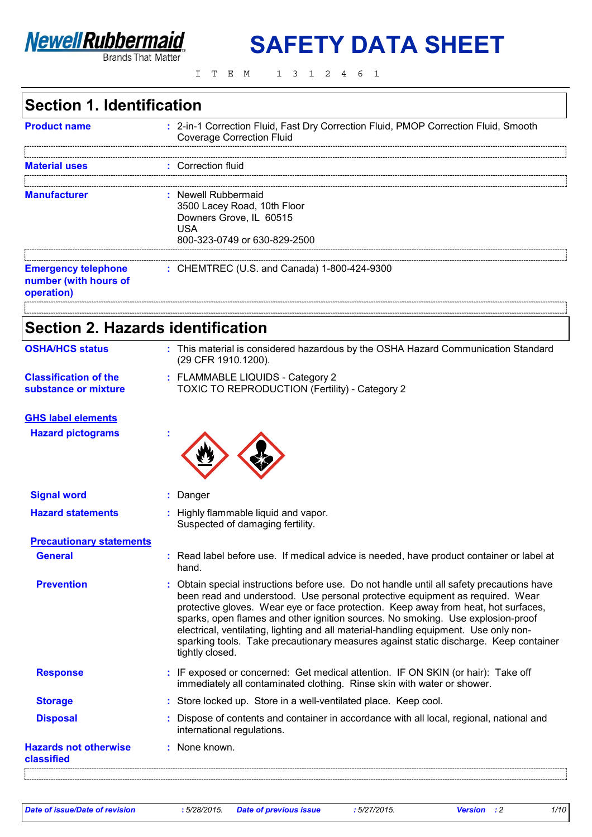

**SAFETY DATA SHEET**

ITEM 1312461

# **Section 1. Identification**

| <b>Product name</b>                                               | : 2-in-1 Correction Fluid, Fast Dry Correction Fluid, PMOP Correction Fluid, Smooth<br><b>Coverage Correction Fluid</b> |
|-------------------------------------------------------------------|-------------------------------------------------------------------------------------------------------------------------|
| <b>Material uses</b>                                              | : Correction fluid                                                                                                      |
| <b>Manufacturer</b>                                               | : Newell Rubbermaid<br>3500 Lacey Road, 10th Floor<br>Downers Grove, IL 60515<br>USA<br>800-323-0749 or 630-829-2500    |
| <b>Emergency telephone</b><br>number (with hours of<br>operation) | : CHEMTREC (U.S. and Canada) 1-800-424-9300                                                                             |
|                                                                   |                                                                                                                         |

# **Section 2. Hazards identification**

| <b>OSHA/HCS status</b>                               | : This material is considered hazardous by the OSHA Hazard Communication Standard<br>(29 CFR 1910.1200).                                                                                                                                                                                                                                                                                                                                                                                                                                               |
|------------------------------------------------------|--------------------------------------------------------------------------------------------------------------------------------------------------------------------------------------------------------------------------------------------------------------------------------------------------------------------------------------------------------------------------------------------------------------------------------------------------------------------------------------------------------------------------------------------------------|
| <b>Classification of the</b><br>substance or mixture | : FLAMMABLE LIQUIDS - Category 2<br>TOXIC TO REPRODUCTION (Fertility) - Category 2                                                                                                                                                                                                                                                                                                                                                                                                                                                                     |
| <b>GHS label elements</b>                            |                                                                                                                                                                                                                                                                                                                                                                                                                                                                                                                                                        |
| <b>Hazard pictograms</b>                             |                                                                                                                                                                                                                                                                                                                                                                                                                                                                                                                                                        |
| <b>Signal word</b>                                   | : Danger                                                                                                                                                                                                                                                                                                                                                                                                                                                                                                                                               |
| <b>Hazard statements</b>                             | : Highly flammable liquid and vapor.<br>Suspected of damaging fertility.                                                                                                                                                                                                                                                                                                                                                                                                                                                                               |
| <b>Precautionary statements</b>                      |                                                                                                                                                                                                                                                                                                                                                                                                                                                                                                                                                        |
| <b>General</b>                                       | : Read label before use. If medical advice is needed, have product container or label at<br>hand.                                                                                                                                                                                                                                                                                                                                                                                                                                                      |
| <b>Prevention</b>                                    | : Obtain special instructions before use. Do not handle until all safety precautions have<br>been read and understood. Use personal protective equipment as required. Wear<br>protective gloves. Wear eye or face protection. Keep away from heat, hot surfaces,<br>sparks, open flames and other ignition sources. No smoking. Use explosion-proof<br>electrical, ventilating, lighting and all material-handling equipment. Use only non-<br>sparking tools. Take precautionary measures against static discharge. Keep container<br>tightly closed. |
| <b>Response</b>                                      | : IF exposed or concerned: Get medical attention. IF ON SKIN (or hair): Take off<br>immediately all contaminated clothing. Rinse skin with water or shower.                                                                                                                                                                                                                                                                                                                                                                                            |
| <b>Storage</b>                                       | : Store locked up. Store in a well-ventilated place. Keep cool.                                                                                                                                                                                                                                                                                                                                                                                                                                                                                        |
| <b>Disposal</b>                                      | : Dispose of contents and container in accordance with all local, regional, national and<br>international regulations.                                                                                                                                                                                                                                                                                                                                                                                                                                 |
| <b>Hazards not otherwise</b>                         | : None known.                                                                                                                                                                                                                                                                                                                                                                                                                                                                                                                                          |

*Date of issue/Date of revision* **:** *5/28/2015. Date of previous issue : 5/27/2015. Version : 2 1/10*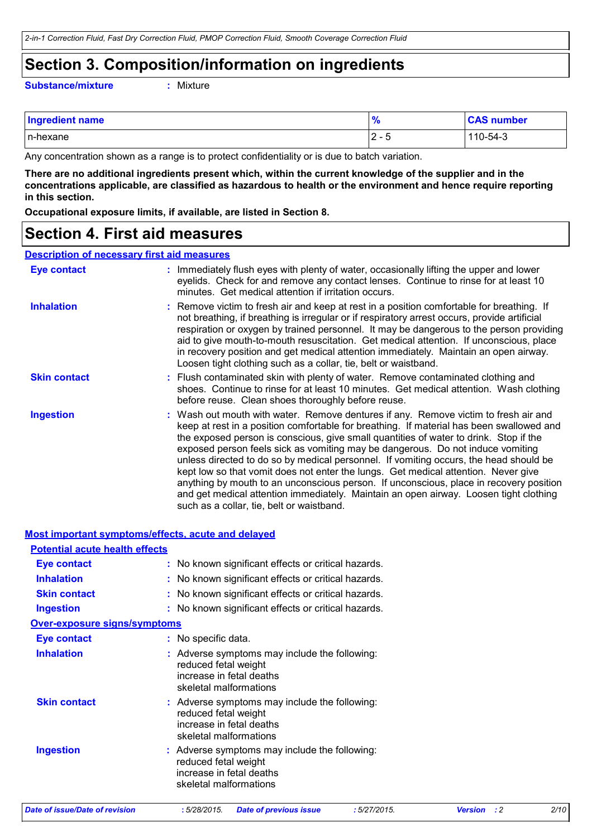### **Section 3. Composition/information on ingredients**

**Substance/mixture :** Mixture

| <b>Ingredient name</b> | n<br>$\overline{\phantom{a}}$ | <b>CAS number</b> |
|------------------------|-------------------------------|-------------------|
| In-hexane              | ⌒<br>$\sim$<br>v<br>∼         | 110-54-3          |

Any concentration shown as a range is to protect confidentiality or is due to batch variation.

**There are no additional ingredients present which, within the current knowledge of the supplier and in the concentrations applicable, are classified as hazardous to health or the environment and hence require reporting in this section.**

**Occupational exposure limits, if available, are listed in Section 8.**

### **Section 4. First aid measures**

#### **Description of necessary first aid measures**

| <b>Eye contact</b>  | : Immediately flush eyes with plenty of water, occasionally lifting the upper and lower<br>eyelids. Check for and remove any contact lenses. Continue to rinse for at least 10<br>minutes. Get medical attention if irritation occurs.                                                                                                                                                                                                                                                                                                                                                                                                                                                                                                                                    |  |
|---------------------|---------------------------------------------------------------------------------------------------------------------------------------------------------------------------------------------------------------------------------------------------------------------------------------------------------------------------------------------------------------------------------------------------------------------------------------------------------------------------------------------------------------------------------------------------------------------------------------------------------------------------------------------------------------------------------------------------------------------------------------------------------------------------|--|
| <b>Inhalation</b>   | : Remove victim to fresh air and keep at rest in a position comfortable for breathing. If<br>not breathing, if breathing is irregular or if respiratory arrest occurs, provide artificial<br>respiration or oxygen by trained personnel. It may be dangerous to the person providing<br>aid to give mouth-to-mouth resuscitation. Get medical attention. If unconscious, place<br>in recovery position and get medical attention immediately. Maintain an open airway.<br>Loosen tight clothing such as a collar, tie, belt or waistband.                                                                                                                                                                                                                                 |  |
| <b>Skin contact</b> | : Flush contaminated skin with plenty of water. Remove contaminated clothing and<br>shoes. Continue to rinse for at least 10 minutes. Get medical attention. Wash clothing<br>before reuse. Clean shoes thoroughly before reuse.                                                                                                                                                                                                                                                                                                                                                                                                                                                                                                                                          |  |
| <b>Ingestion</b>    | : Wash out mouth with water. Remove dentures if any. Remove victim to fresh air and<br>keep at rest in a position comfortable for breathing. If material has been swallowed and<br>the exposed person is conscious, give small quantities of water to drink. Stop if the<br>exposed person feels sick as vomiting may be dangerous. Do not induce vomiting<br>unless directed to do so by medical personnel. If vomiting occurs, the head should be<br>kept low so that vomit does not enter the lungs. Get medical attention. Never give<br>anything by mouth to an unconscious person. If unconscious, place in recovery position<br>and get medical attention immediately. Maintain an open airway. Loosen tight clothing<br>such as a collar, tie, belt or waistband. |  |

|                                       | <b>Most important symptoms/effects, acute and delayed</b>                                                                   |                             |      |
|---------------------------------------|-----------------------------------------------------------------------------------------------------------------------------|-----------------------------|------|
| <b>Potential acute health effects</b> |                                                                                                                             |                             |      |
| <b>Eye contact</b>                    | : No known significant effects or critical hazards.                                                                         |                             |      |
| <b>Inhalation</b>                     | : No known significant effects or critical hazards.                                                                         |                             |      |
| <b>Skin contact</b>                   | : No known significant effects or critical hazards.                                                                         |                             |      |
| <b>Ingestion</b>                      | : No known significant effects or critical hazards.                                                                         |                             |      |
| <b>Over-exposure signs/symptoms</b>   |                                                                                                                             |                             |      |
| <b>Eye contact</b>                    | : No specific data.                                                                                                         |                             |      |
| <b>Inhalation</b>                     | : Adverse symptoms may include the following:<br>reduced fetal weight<br>increase in fetal deaths<br>skeletal malformations |                             |      |
| <b>Skin contact</b>                   | : Adverse symptoms may include the following:<br>reduced fetal weight<br>increase in fetal deaths<br>skeletal malformations |                             |      |
| <b>Ingestion</b>                      | : Adverse symptoms may include the following:<br>reduced fetal weight<br>increase in fetal deaths<br>skeletal malformations |                             |      |
| Date of issue/Date of revision        | :5/28/2015<br><b>Date of previous issue</b><br>:5/27/2015                                                                   | <b>Version</b><br>$\cdot$ 2 | 2/10 |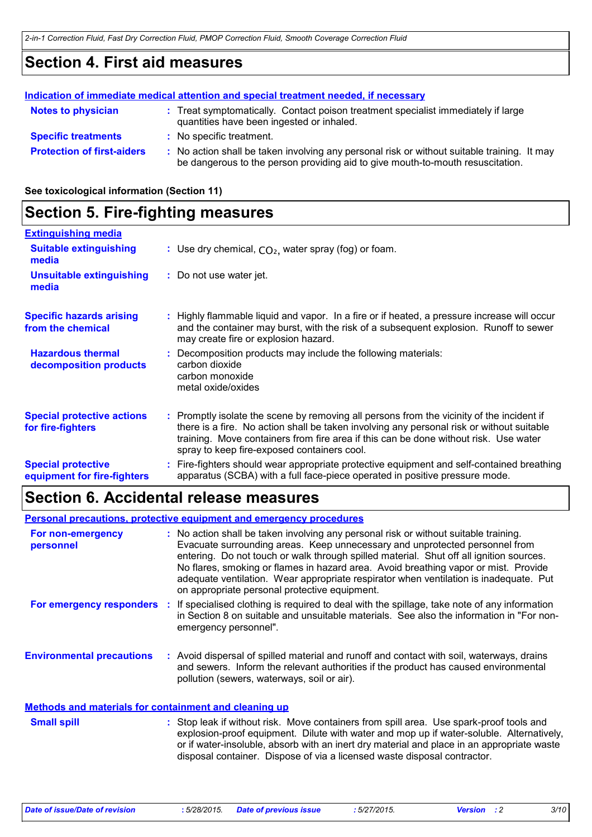### **Section 4. First aid measures**

|                                   | Indication of immediate medical attention and special treatment needed, if necessary                                                                                          |
|-----------------------------------|-------------------------------------------------------------------------------------------------------------------------------------------------------------------------------|
| <b>Notes to physician</b>         | : Treat symptomatically. Contact poison treatment specialist immediately if large<br>quantities have been ingested or inhaled.                                                |
| <b>Specific treatments</b>        | : No specific treatment.                                                                                                                                                      |
| <b>Protection of first-aiders</b> | : No action shall be taken involving any personal risk or without suitable training. It may<br>be dangerous to the person providing aid to give mouth-to-mouth resuscitation. |

**See toxicological information (Section 11)**

### **Section 5. Fire-fighting measures**

| <b>Extinguishing media</b>                               |                                                                                                                                                                                                                                                                                                                               |
|----------------------------------------------------------|-------------------------------------------------------------------------------------------------------------------------------------------------------------------------------------------------------------------------------------------------------------------------------------------------------------------------------|
| <b>Suitable extinguishing</b><br>media                   | : Use dry chemical, $CO2$ , water spray (fog) or foam.                                                                                                                                                                                                                                                                        |
| <b>Unsuitable extinguishing</b><br>media                 | : Do not use water jet.                                                                                                                                                                                                                                                                                                       |
| <b>Specific hazards arising</b><br>from the chemical     | Highly flammable liquid and vapor. In a fire or if heated, a pressure increase will occur<br>and the container may burst, with the risk of a subsequent explosion. Runoff to sewer<br>may create fire or explosion hazard.                                                                                                    |
| <b>Hazardous thermal</b><br>decomposition products       | Decomposition products may include the following materials:<br>carbon dioxide<br>carbon monoxide<br>metal oxide/oxides                                                                                                                                                                                                        |
| <b>Special protective actions</b><br>for fire-fighters   | : Promptly isolate the scene by removing all persons from the vicinity of the incident if<br>there is a fire. No action shall be taken involving any personal risk or without suitable<br>training. Move containers from fire area if this can be done without risk. Use water<br>spray to keep fire-exposed containers cool. |
| <b>Special protective</b><br>equipment for fire-fighters | Fire-fighters should wear appropriate protective equipment and self-contained breathing<br>apparatus (SCBA) with a full face-piece operated in positive pressure mode.                                                                                                                                                        |

### **Section 6. Accidental release measures**

**Environmental precautions Personal precautions, protective equipment and emergency procedures :** Avoid dispersal of spilled material and runoff and contact with soil, waterways, drains **:** No action shall be taken involving any personal risk or without suitable training. Evacuate surrounding areas. Keep unnecessary and unprotected personnel from entering. Do not touch or walk through spilled material. Shut off all ignition sources. No flares, smoking or flames in hazard area. Avoid breathing vapor or mist. Provide adequate ventilation. Wear appropriate respirator when ventilation is inadequate. Put on appropriate personal protective equipment. and sewers. Inform the relevant authorities if the product has caused environmental pollution (sewers, waterways, soil or air). **Methods and materials for containment and cleaning up For non-emergency personnel For emergency responders :** If specialised clothing is required to deal with the spillage, take note of any information in Section 8 on suitable and unsuitable materials. See also the information in "For nonemergency personnel".

: Stop leak if without risk. Move containers from spill area. Use spark-proof tools and explosion-proof equipment. Dilute with water and mop up if water-soluble. Alternatively, or if water-insoluble, absorb with an inert dry material and place in an appropriate waste disposal container. Dispose of via a licensed waste disposal contractor. **Small spill :**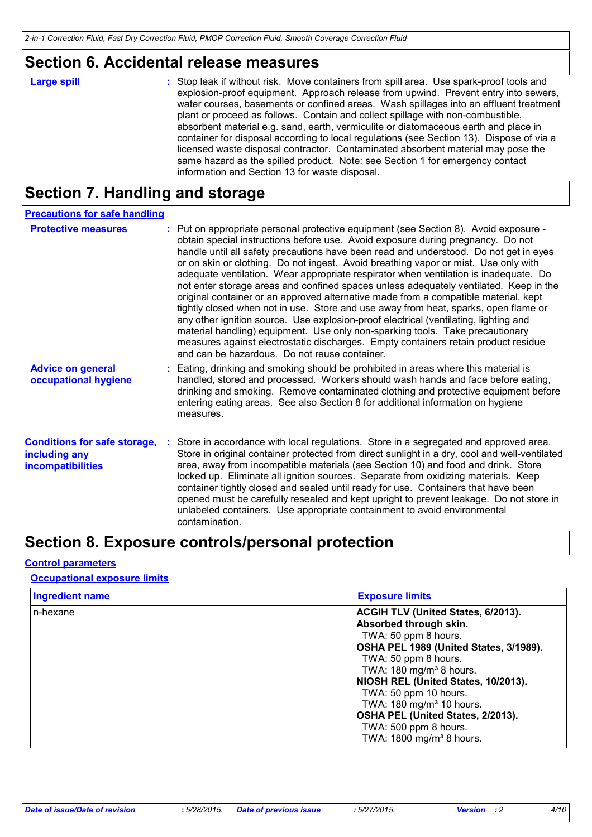### **Section 6. Accidental release measures**

| <b>Large spill</b> | : Stop leak if without risk. Move containers from spill area. Use spark-proof tools and<br>explosion-proof equipment. Approach release from upwind. Prevent entry into sewers,<br>water courses, basements or confined areas. Wash spillages into an effluent treatment<br>plant or proceed as follows. Contain and collect spillage with non-combustible,<br>absorbent material e.g. sand, earth, vermiculite or diatomaceous earth and place in<br>container for disposal according to local regulations (see Section 13). Dispose of via a<br>licensed waste disposal contractor. Contaminated absorbent material may pose the<br>same hazard as the spilled product. Note: see Section 1 for emergency contact |
|--------------------|--------------------------------------------------------------------------------------------------------------------------------------------------------------------------------------------------------------------------------------------------------------------------------------------------------------------------------------------------------------------------------------------------------------------------------------------------------------------------------------------------------------------------------------------------------------------------------------------------------------------------------------------------------------------------------------------------------------------|
|                    | information and Section 13 for waste disposal.                                                                                                                                                                                                                                                                                                                                                                                                                                                                                                                                                                                                                                                                     |

# **Section 7. Handling and storage**

| <b>Precautions for safe handling</b>                                             |                                                                                                                                                                                                                                                                                                                                                                                                                                                                                                                                                                                                                                                                                                                                                                                                                                                                                                                                                                                                                                        |
|----------------------------------------------------------------------------------|----------------------------------------------------------------------------------------------------------------------------------------------------------------------------------------------------------------------------------------------------------------------------------------------------------------------------------------------------------------------------------------------------------------------------------------------------------------------------------------------------------------------------------------------------------------------------------------------------------------------------------------------------------------------------------------------------------------------------------------------------------------------------------------------------------------------------------------------------------------------------------------------------------------------------------------------------------------------------------------------------------------------------------------|
| <b>Protective measures</b>                                                       | : Put on appropriate personal protective equipment (see Section 8). Avoid exposure -<br>obtain special instructions before use. Avoid exposure during pregnancy. Do not<br>handle until all safety precautions have been read and understood. Do not get in eyes<br>or on skin or clothing. Do not ingest. Avoid breathing vapor or mist. Use only with<br>adequate ventilation. Wear appropriate respirator when ventilation is inadequate. Do<br>not enter storage areas and confined spaces unless adequately ventilated. Keep in the<br>original container or an approved alternative made from a compatible material, kept<br>tightly closed when not in use. Store and use away from heat, sparks, open flame or<br>any other ignition source. Use explosion-proof electrical (ventilating, lighting and<br>material handling) equipment. Use only non-sparking tools. Take precautionary<br>measures against electrostatic discharges. Empty containers retain product residue<br>and can be hazardous. Do not reuse container. |
| <b>Advice on general</b><br>occupational hygiene                                 | : Eating, drinking and smoking should be prohibited in areas where this material is<br>handled, stored and processed. Workers should wash hands and face before eating,<br>drinking and smoking. Remove contaminated clothing and protective equipment before<br>entering eating areas. See also Section 8 for additional information on hygiene<br>measures.                                                                                                                                                                                                                                                                                                                                                                                                                                                                                                                                                                                                                                                                          |
| <b>Conditions for safe storage,</b><br>including any<br><b>incompatibilities</b> | Store in accordance with local regulations. Store in a segregated and approved area.<br>Store in original container protected from direct sunlight in a dry, cool and well-ventilated<br>area, away from incompatible materials (see Section 10) and food and drink. Store<br>locked up. Eliminate all ignition sources. Separate from oxidizing materials. Keep<br>container tightly closed and sealed until ready for use. Containers that have been<br>opened must be carefully resealed and kept upright to prevent leakage. Do not store in<br>unlabeled containers. Use appropriate containment to avoid environmental<br>contamination.                                                                                                                                                                                                                                                                                                                                                                                         |

# **Section 8. Exposure controls/personal protection**

#### **Control parameters**

#### **Occupational exposure limits**

| <b>Ingredient name</b> | <b>Exposure limits</b>                    |
|------------------------|-------------------------------------------|
| n-hexane               | <b>ACGIH TLV (United States, 6/2013).</b> |
|                        | Absorbed through skin.                    |
|                        | TWA: 50 ppm 8 hours.                      |
|                        | OSHA PEL 1989 (United States, 3/1989).    |
|                        | TWA: 50 ppm 8 hours.                      |
|                        | TWA: $180 \text{ mg/m}^3$ 8 hours.        |
|                        | NIOSH REL (United States, 10/2013).       |
|                        | TWA: 50 ppm 10 hours.                     |
|                        | TWA: 180 mg/m <sup>3</sup> 10 hours.      |
|                        | OSHA PEL (United States, 2/2013).         |
|                        | TWA: 500 ppm 8 hours.                     |
|                        | TWA: 1800 mg/m <sup>3</sup> 8 hours.      |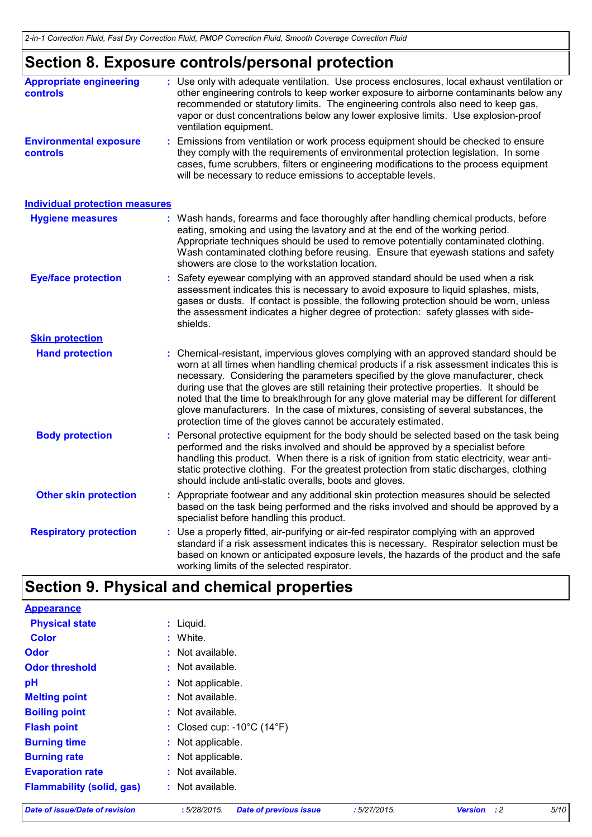# **Section 8. Exposure controls/personal protection**

| <b>Appropriate engineering</b><br><b>controls</b> | : Use only with adequate ventilation. Use process enclosures, local exhaust ventilation or<br>other engineering controls to keep worker exposure to airborne contaminants below any<br>recommended or statutory limits. The engineering controls also need to keep gas,<br>vapor or dust concentrations below any lower explosive limits. Use explosion-proof<br>ventilation equipment.                                                                                                                                                                                                                              |
|---------------------------------------------------|----------------------------------------------------------------------------------------------------------------------------------------------------------------------------------------------------------------------------------------------------------------------------------------------------------------------------------------------------------------------------------------------------------------------------------------------------------------------------------------------------------------------------------------------------------------------------------------------------------------------|
| <b>Environmental exposure</b><br>controls         | Emissions from ventilation or work process equipment should be checked to ensure<br>they comply with the requirements of environmental protection legislation. In some<br>cases, fume scrubbers, filters or engineering modifications to the process equipment<br>will be necessary to reduce emissions to acceptable levels.                                                                                                                                                                                                                                                                                        |
| <b>Individual protection measures</b>             |                                                                                                                                                                                                                                                                                                                                                                                                                                                                                                                                                                                                                      |
| <b>Hygiene measures</b>                           | : Wash hands, forearms and face thoroughly after handling chemical products, before<br>eating, smoking and using the lavatory and at the end of the working period.<br>Appropriate techniques should be used to remove potentially contaminated clothing.<br>Wash contaminated clothing before reusing. Ensure that eyewash stations and safety<br>showers are close to the workstation location.                                                                                                                                                                                                                    |
| <b>Eye/face protection</b>                        | : Safety eyewear complying with an approved standard should be used when a risk<br>assessment indicates this is necessary to avoid exposure to liquid splashes, mists,<br>gases or dusts. If contact is possible, the following protection should be worn, unless<br>the assessment indicates a higher degree of protection: safety glasses with side-<br>shields.                                                                                                                                                                                                                                                   |
| <b>Skin protection</b>                            |                                                                                                                                                                                                                                                                                                                                                                                                                                                                                                                                                                                                                      |
| <b>Hand protection</b>                            | Chemical-resistant, impervious gloves complying with an approved standard should be<br>worn at all times when handling chemical products if a risk assessment indicates this is<br>necessary. Considering the parameters specified by the glove manufacturer, check<br>during use that the gloves are still retaining their protective properties. It should be<br>noted that the time to breakthrough for any glove material may be different for different<br>glove manufacturers. In the case of mixtures, consisting of several substances, the<br>protection time of the gloves cannot be accurately estimated. |
| <b>Body protection</b>                            | Personal protective equipment for the body should be selected based on the task being<br>performed and the risks involved and should be approved by a specialist before<br>handling this product. When there is a risk of ignition from static electricity, wear anti-<br>static protective clothing. For the greatest protection from static discharges, clothing<br>should include anti-static overalls, boots and gloves.                                                                                                                                                                                         |
| <b>Other skin protection</b>                      | : Appropriate footwear and any additional skin protection measures should be selected<br>based on the task being performed and the risks involved and should be approved by a<br>specialist before handling this product.                                                                                                                                                                                                                                                                                                                                                                                            |
| <b>Respiratory protection</b>                     | : Use a properly fitted, air-purifying or air-fed respirator complying with an approved<br>standard if a risk assessment indicates this is necessary. Respirator selection must be<br>based on known or anticipated exposure levels, the hazards of the product and the safe<br>working limits of the selected respirator.                                                                                                                                                                                                                                                                                           |

# **Section 9. Physical and chemical properties**

| <b>Flammability (solid, gas)</b> | : Not available.                                |  |
|----------------------------------|-------------------------------------------------|--|
| <b>Evaporation rate</b>          | : Not available.                                |  |
| <b>Burning rate</b>              | : Not applicable.                               |  |
| <b>Burning time</b>              | : Not applicable.                               |  |
| <b>Flash point</b>               | : Closed cup: $-10^{\circ}$ C (14 $^{\circ}$ F) |  |
| <b>Boiling point</b>             | : Not available.                                |  |
| <b>Melting point</b>             | $:$ Not available.                              |  |
| pH                               | : Not applicable.                               |  |
| <b>Odor threshold</b>            | $:$ Not available.                              |  |
| <b>Odor</b>                      | : Not available.                                |  |
| <b>Color</b>                     | : White.                                        |  |
| <b>Physical state</b>            | $:$ Liquid.                                     |  |
| <b>Appearance</b>                |                                                 |  |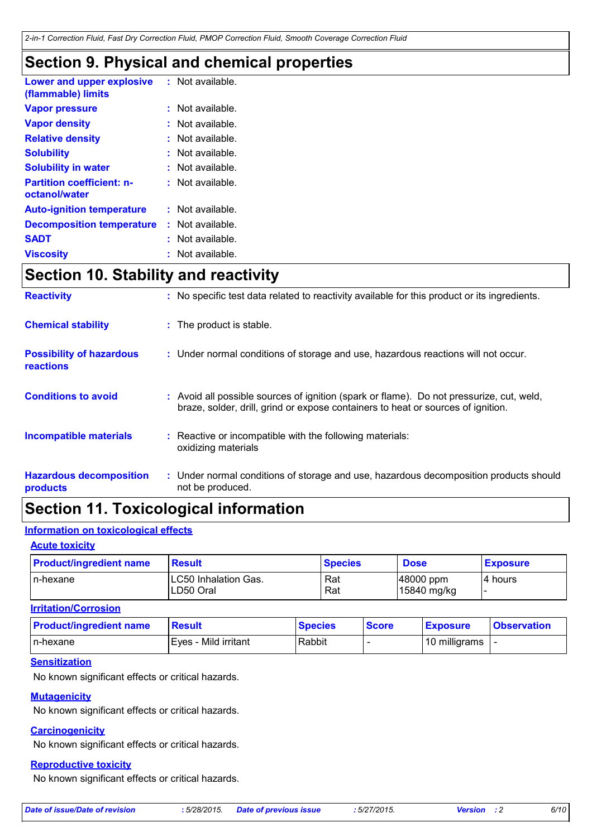### **Section 9. Physical and chemical properties**

| Lower and upper explosive<br>(flammable) limits   | $:$ Not available. |
|---------------------------------------------------|--------------------|
| <b>Vapor pressure</b>                             | Not available.     |
| <b>Vapor density</b>                              | Not available.     |
| <b>Relative density</b>                           | Not available.     |
| <b>Solubility</b>                                 | Not available.     |
| <b>Solubility in water</b>                        | $:$ Not available. |
| <b>Partition coefficient: n-</b><br>octanol/water | : Not available.   |
| <b>Auto-ignition temperature</b>                  | : Not available.   |
| <b>Decomposition temperature</b>                  | : Not available.   |
| <b>SADT</b>                                       | Not available.     |
| <b>Viscosity</b>                                  | Not available.     |

# **Section 10. Stability and reactivity**

| <b>Reactivity</b>                            | : No specific test data related to reactivity available for this product or its ingredients.                                                                                 |
|----------------------------------------------|------------------------------------------------------------------------------------------------------------------------------------------------------------------------------|
| <b>Chemical stability</b>                    | : The product is stable.                                                                                                                                                     |
| <b>Possibility of hazardous</b><br>reactions | : Under normal conditions of storage and use, hazardous reactions will not occur.                                                                                            |
| <b>Conditions to avoid</b>                   | : Avoid all possible sources of ignition (spark or flame). Do not pressurize, cut, weld,<br>braze, solder, drill, grind or expose containers to heat or sources of ignition. |
| <b>Incompatible materials</b>                | : Reactive or incompatible with the following materials:<br>oxidizing materials                                                                                              |
| <b>Hazardous decomposition</b><br>products   | : Under normal conditions of storage and use, hazardous decomposition products should<br>not be produced.                                                                    |

# **Section 11. Toxicological information**

### **Information on toxicological effects**

#### **Acute toxicity**

| <b>Product/ingredient name</b> | <b>Result</b>                      | <b>Species</b> | <b>Dose</b>                 | <b>Exposure</b> |
|--------------------------------|------------------------------------|----------------|-----------------------------|-----------------|
| In-hexane                      | ILC50 Inhalation Gas.<br>LD50 Oral | Rat<br>Rat     | $ 48000$ ppm<br>15840 mg/kg | I4 hours        |
| <b>Irritation/Corrosion</b>    |                                    |                |                             |                 |

| <b>Product/ingredient name</b> | <b>Result</b>        | <b>Species</b> | <b>Score</b> | <b>Exposure</b> | <b>Observation</b> |
|--------------------------------|----------------------|----------------|--------------|-----------------|--------------------|
| In-hexane                      | Eves - Mild irritant | Rabbit         |              | 10 milligrams   |                    |

#### **Sensitization**

No known significant effects or critical hazards.

#### **Mutagenicity**

No known significant effects or critical hazards.

#### **Carcinogenicity**

No known significant effects or critical hazards.

#### **Reproductive toxicity**

No known significant effects or critical hazards.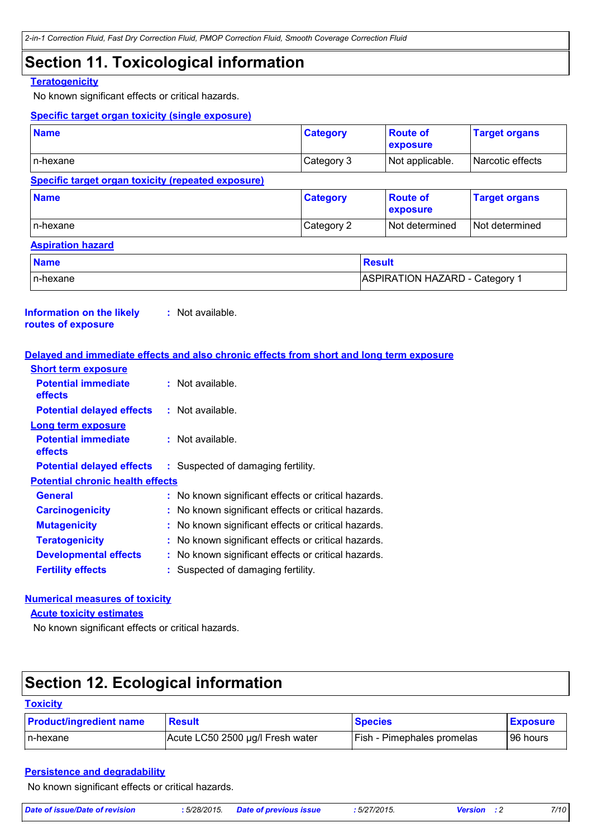### **Section 11. Toxicological information**

#### **Teratogenicity**

No known significant effects or critical hazards.

#### **Specific target organ toxicity (single exposure)**

| <b>Name</b>                                        | <b>Category</b>                       | <b>Route of</b><br>exposure | <b>Target organs</b> |
|----------------------------------------------------|---------------------------------------|-----------------------------|----------------------|
| l n-hexane                                         | Category 3                            | Not applicable.             | Narcotic effects     |
| Specific target organ toxicity (repeated exposure) |                                       |                             |                      |
| <b>Name</b>                                        | <b>Category</b>                       | <b>Route of</b><br>exposure | <b>Target organs</b> |
| In-hexane                                          | Category 2                            | Not determined              | Not determined       |
| <b>Aspiration hazard</b>                           |                                       |                             |                      |
| <b>Name</b>                                        |                                       | <b>Result</b>               |                      |
| In-hexane                                          | <b>ASPIRATION HAZARD - Category 1</b> |                             |                      |

#### **Information on the likely routes of exposure :** Not available.

#### **Delayed and immediate effects and also chronic effects from short and long term exposure**

| $:$ Not available.                                  |
|-----------------------------------------------------|
| $:$ Not available.                                  |
|                                                     |
| $:$ Not available.                                  |
| : Suspected of damaging fertility.                  |
|                                                     |
| : No known significant effects or critical hazards. |
| : No known significant effects or critical hazards. |
| : No known significant effects or critical hazards. |
| : No known significant effects or critical hazards. |
| : No known significant effects or critical hazards. |
| Suspected of damaging fertility.                    |
| <b>Potential chronic health effects</b>             |

#### **Numerical measures of toxicity**

**Acute toxicity estimates**

No known significant effects or critical hazards.

# **Section 12. Ecological information**

| Toxicitv |
|----------|
|----------|

| <b>Product/ingredient name</b> | <b>Result</b>                    | <b>Species</b>                    | <b>Exposure</b> |
|--------------------------------|----------------------------------|-----------------------------------|-----------------|
| In-hexane                      | Acute LC50 2500 µg/l Fresh water | <b>Fish - Pimephales promelas</b> | 96 hours        |

#### **Persistence and degradability**

No known significant effects or critical hazards.

| <b>Date of issue/Date of revision</b> | : 5/28/2015<br>the contract of the contract of the contract of the contract of the contract of the contract of the contract of | <u>' nrevious iss</u><br>ate of a | F/27/224F<br>72015.<br>$\sim$<br>$\cup$ | -rein- | 7/10 |
|---------------------------------------|--------------------------------------------------------------------------------------------------------------------------------|-----------------------------------|-----------------------------------------|--------|------|
|                                       |                                                                                                                                |                                   |                                         |        |      |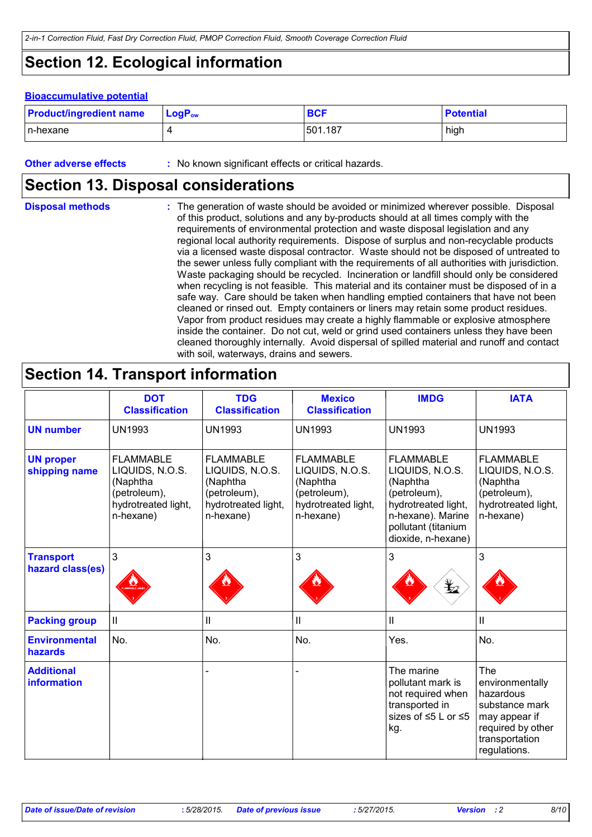# **Section 12. Ecological information**

#### **Bioaccumulative potential**

| <b>Product/ingredient name</b> | $LogP_{ow}$ | <b>BCF</b> | <b>Potential</b> |
|--------------------------------|-------------|------------|------------------|
| In-hexane                      |             | 501.187    | high             |

**Other adverse effects** : No known significant effects or critical hazards.

### **Section 13. Disposal considerations**

The generation of waste should be avoided or minimized wherever possible. Disposal of this product, solutions and any by-products should at all times comply with the requirements of environmental protection and waste disposal legislation and any regional local authority requirements. Dispose of surplus and non-recyclable products via a licensed waste disposal contractor. Waste should not be disposed of untreated to the sewer unless fully compliant with the requirements of all authorities with jurisdiction. Waste packaging should be recycled. Incineration or landfill should only be considered when recycling is not feasible. This material and its container must be disposed of in a safe way. Care should be taken when handling emptied containers that have not been cleaned or rinsed out. Empty containers or liners may retain some product residues. Vapor from product residues may create a highly flammable or explosive atmosphere inside the container. Do not cut, weld or grind used containers unless they have been cleaned thoroughly internally. Avoid dispersal of spilled material and runoff and contact with soil, waterways, drains and sewers. **Disposal methods :**

### **Section 14. Transport information**

|                                      | <b>DOT</b><br><b>Classification</b>                                                                 | <b>TDG</b><br><b>Classification</b>                                                                 | <b>Mexico</b><br><b>Classification</b>                                                              | <b>IMDG</b>                                                                                                                                              | <b>IATA</b>                                                                                                                          |
|--------------------------------------|-----------------------------------------------------------------------------------------------------|-----------------------------------------------------------------------------------------------------|-----------------------------------------------------------------------------------------------------|----------------------------------------------------------------------------------------------------------------------------------------------------------|--------------------------------------------------------------------------------------------------------------------------------------|
| <b>UN number</b>                     | <b>UN1993</b>                                                                                       | <b>UN1993</b>                                                                                       | <b>UN1993</b>                                                                                       | <b>UN1993</b>                                                                                                                                            | <b>UN1993</b>                                                                                                                        |
| <b>UN proper</b><br>shipping name    | <b>FLAMMABLE</b><br>LIQUIDS, N.O.S.<br>(Naphtha<br>(petroleum),<br>hydrotreated light,<br>n-hexane) | <b>FLAMMABLE</b><br>LIQUIDS, N.O.S.<br>(Naphtha<br>(petroleum),<br>hydrotreated light,<br>n-hexane) | <b>FLAMMABLE</b><br>LIQUIDS, N.O.S.<br>(Naphtha<br>(petroleum),<br>hydrotreated light,<br>n-hexane) | <b>FLAMMABLE</b><br>LIQUIDS, N.O.S.<br>(Naphtha<br>(petroleum),<br>hydrotreated light,<br>n-hexane). Marine<br>pollutant (titanium<br>dioxide, n-hexane) | <b>FLAMMABLE</b><br>LIQUIDS, N.O.S.<br>(Naphtha<br>(petroleum),<br>hydrotreated light,<br>n-hexane)                                  |
| <b>Transport</b><br>hazard class(es) | 3                                                                                                   | 3                                                                                                   | 3                                                                                                   | 3<br>$\bigstar$                                                                                                                                          | 3                                                                                                                                    |
| <b>Packing group</b>                 | Ш                                                                                                   | $\mathbf{I}$                                                                                        | $\mathbf{II}$                                                                                       | Ш                                                                                                                                                        | Ш                                                                                                                                    |
| <b>Environmental</b><br>hazards      | No.                                                                                                 | No.                                                                                                 | No.                                                                                                 | Yes.                                                                                                                                                     | No.                                                                                                                                  |
| <b>Additional</b><br>information     |                                                                                                     |                                                                                                     |                                                                                                     | The marine<br>pollutant mark is<br>not required when<br>transported in<br>sizes of $\leq$ 5 L or $\leq$ 5<br>kg.                                         | <b>The</b><br>environmentally<br>hazardous<br>substance mark<br>may appear if<br>required by other<br>transportation<br>regulations. |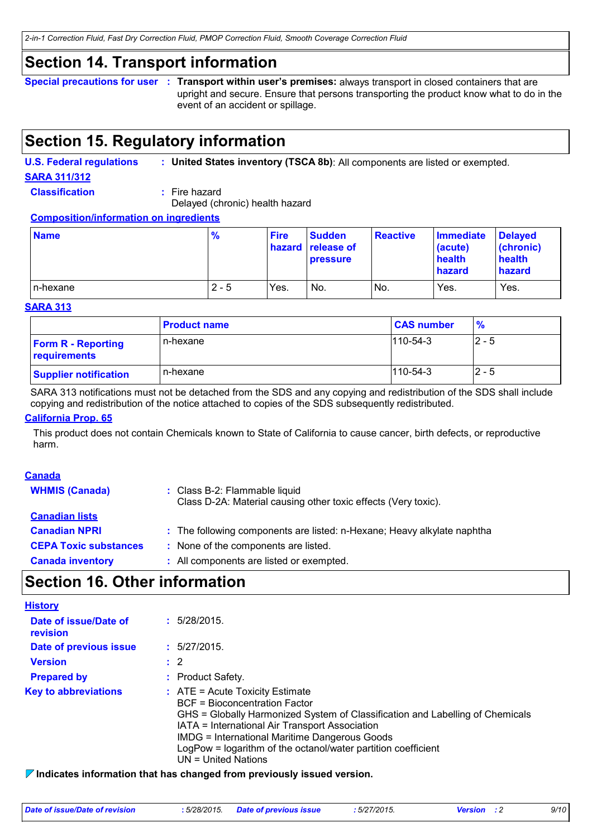### **Section 14. Transport information**

**Special precautions for user Transport within user's premises:** always transport in closed containers that are **:** upright and secure. Ensure that persons transporting the product know what to do in the event of an accident or spillage.

## **Section 15. Regulatory information**

**U.S. Federal regulations : United States inventory (TSCA 8b)**: All components are listed or exempted.

**SARA 311/312**

**Classification :** Fire hazard

Delayed (chronic) health hazard

**Composition/information on ingredients**

| <b>Name</b> | $\frac{9}{6}$ | <b>Fire</b> | <b>Sudden</b><br><b>hazard release of</b><br><b>pressure</b> | <b>Reactive</b> | <b>Immediate</b><br>(acute)<br>health<br><b>hazard</b> | <b>Delayed</b><br>$ $ (chronic)<br>health<br>hazard |
|-------------|---------------|-------------|--------------------------------------------------------------|-----------------|--------------------------------------------------------|-----------------------------------------------------|
| In-hexane   | $2 - 5$       | Yes.        | No.                                                          | IN <sub>O</sub> | Yes.                                                   | Yes.                                                |

#### **SARA 313**

|                                           | <b>Product name</b> | <b>CAS number</b> | %       |
|-------------------------------------------|---------------------|-------------------|---------|
| <b>Form R - Reporting</b><br>requirements | n-hexane            | $1110 - 54 - 3$   | $2 - 5$ |
| <b>Supplier notification</b>              | n-hexane            | $110 - 54 - 3$    | $2 - 5$ |

SARA 313 notifications must not be detached from the SDS and any copying and redistribution of the SDS shall include copying and redistribution of the notice attached to copies of the SDS subsequently redistributed.

#### **California Prop. 65**

This product does not contain Chemicals known to State of California to cause cancer, birth defects, or reproductive harm.

| <b>Canada</b>                |                                                                                                 |
|------------------------------|-------------------------------------------------------------------------------------------------|
| <b>WHMIS (Canada)</b>        | : Class B-2: Flammable liquid<br>Class D-2A: Material causing other toxic effects (Very toxic). |
| <b>Canadian lists</b>        |                                                                                                 |
| <b>Canadian NPRI</b>         | : The following components are listed: n-Hexane; Heavy alkylate naphtha                         |
| <b>CEPA Toxic substances</b> | : None of the components are listed.                                                            |
| <b>Canada inventory</b>      | : All components are listed or exempted.                                                        |
|                              |                                                                                                 |

## **Section 16. Other information**

| <b>History</b>                    |                                                                                                                                                                                                                                                                                                                                                                       |
|-----------------------------------|-----------------------------------------------------------------------------------------------------------------------------------------------------------------------------------------------------------------------------------------------------------------------------------------------------------------------------------------------------------------------|
| Date of issue/Date of<br>revision | : 5/28/2015.                                                                                                                                                                                                                                                                                                                                                          |
| Date of previous issue            | : 5/27/2015.                                                                                                                                                                                                                                                                                                                                                          |
| <b>Version</b>                    | : 2                                                                                                                                                                                                                                                                                                                                                                   |
| <b>Prepared by</b>                | : Product Safety.                                                                                                                                                                                                                                                                                                                                                     |
| <b>Key to abbreviations</b>       | $\therefore$ ATE = Acute Toxicity Estimate<br><b>BCF</b> = Bioconcentration Factor<br>GHS = Globally Harmonized System of Classification and Labelling of Chemicals<br>IATA = International Air Transport Association<br><b>IMDG = International Maritime Dangerous Goods</b><br>LogPow = logarithm of the octanol/water partition coefficient<br>UN = United Nations |

**Indicates information that has changed from previously issued version.**

| Date of issue/Date of revision | : 5/28/2015. Date of previous issue | : 5/27/2015. | <b>Version</b> : 2 | 9/10 |
|--------------------------------|-------------------------------------|--------------|--------------------|------|
|                                |                                     |              |                    |      |